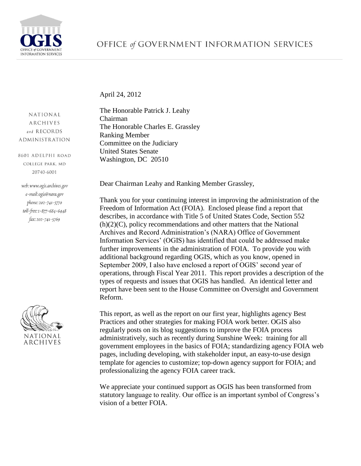

April 24, 2012

NATIONAL **ARCHIVES** and RECORDS **ADMINISTRATION** 

8601 ADELPHI ROAD COLLEGE PARK, MD 20740-6001

web: www.ogis.archives.gov e-mail: ogis@nara.gov phone: 202-741-5770 toll-free: 1-877-684-6448 fax: 202-741-5769



The Honorable Patrick J. Leahy Chairman The Honorable Charles E. Grassley Ranking Member Committee on the Judiciary United States Senate Washington, DC 20510

Dear Chairman Leahy and Ranking Member Grassley,

Thank you for your continuing interest in improving the administration of the Freedom of Information Act (FOIA). Enclosed please find a report that describes, in accordance with Title 5 of United States Code, Section 552 (h)(2)(C), policy recommendations and other matters that the National Archives and Record Administration's (NARA) Office of Government Information Services' (OGIS) has identified that could be addressed make further improvements in the administration of FOIA. To provide you with additional background regarding OGIS, which as you know, opened in September 2009, I also have enclosed a report of OGIS' second year of operations, through Fiscal Year 2011. This report provides a description of the types of requests and issues that OGIS has handled. An identical letter and report have been sent to the House Committee on Oversight and Government Reform.

This report, as well as the report on our first year, highlights agency Best Practices and other strategies for making FOIA work better. OGIS also regularly posts on its blog suggestions to improve the FOIA process administratively, such as recently during Sunshine Week: training for all government employees in the basics of FOIA; standardizing agency FOIA web pages, including developing, with stakeholder input, an easy-to-use design template for agencies to customize; top-down agency support for FOIA; and professionalizing the agency FOIA career track.

We appreciate your continued support as OGIS has been transformed from statutory language to reality. Our office is an important symbol of Congress's vision of a better FOIA.